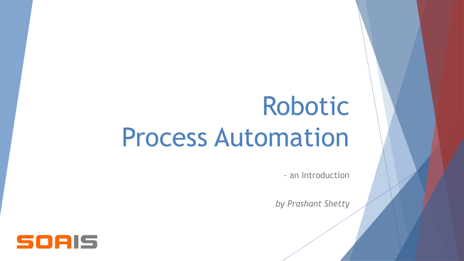# Robotic Process Automation

- an Introduction

*by Prashant Shetty*

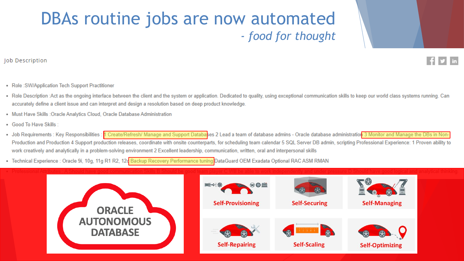#### DBAs routine jobs are now automated *- food for thought*

Job Description

- Role: SW/Application Tech Support Practitioner
- Role Description :Act as the ongoing interface between the client and the system or application. Dedicated to quality, using exceptional communication skills to keep our world class systems running. Can accurately define a client issue and can interpret and design a resolution based on deep product knowledge.
- Must Have Skills : Oracle Analytics Cloud, Oracle Database Administration
- . Good To Have Skills:
- Job Requirements : Key Responsibilities : <mark>1</mark> Create/Refresh/ Manage and Support Databases 2 Lead a team of database admins Oracle database administration 3 Monitor and Manage the DBs in Non-Production and Production 4 Support production releases, coordinate with onsite counterparts, for scheduling team calendar 5 SQL Server DB admin, scripting Professional Experience: 1 Proven ability to work creatively and analytically in a problem-solving environment 2 Excellent leadership, communication, written, oral and interpersonal skills
- · Technical Experience : Oracle 9i, 10g, 11g R1 R2, 12d Backup Recovery Performance tuning DataGuard OEM Exadata Optional RAC ASM RMAN

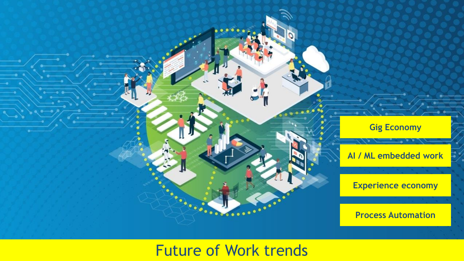

Future of Work trends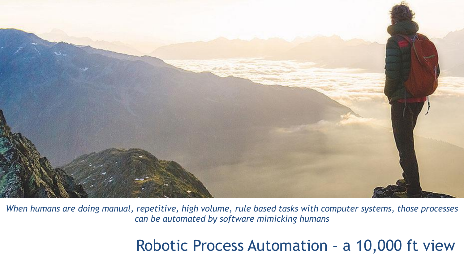

*When humans are doing manual, repetitive, high volume, rule based tasks with computer systems, those processes can be automated by software mimicking humans* 

#### Robotic Process Automation – a 10,000 ft view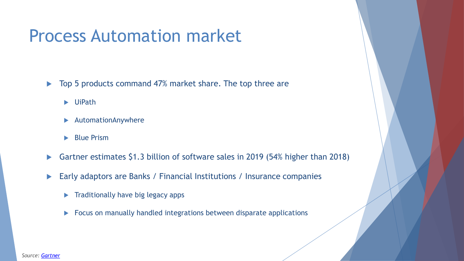## Process Automation market

▶ Top 5 products command 47% market share. The top three are

- UiPath
- AutomationAnywhere
- Blue Prism
- Gartner estimates \$1.3 billion of software sales in 2019 (54% higher than 2018)
- Early adaptors are Banks / Financial Institutions / Insurance companies
	- $\blacktriangleright$  Traditionally have big legacy apps
	- Focus on manually handled integrations between disparate applications

*Source: [Gartner](https://www.gartner.com/en/newsroom/press-releases/2019-06-24-gartner-says-worldwide-robotic-process-automation-sof)*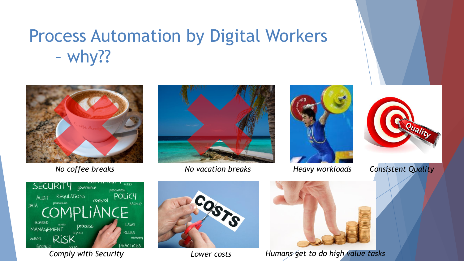## Process Automation by Digital Workers – why??





*No coffee breaks No vacation breaks Heavy workloads Consistent Quality*











*Comply with Security Lower costs Humans get to do high value tasks*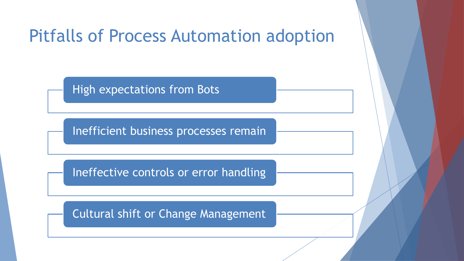## Pitfalls of Process Automation adoption

High expectations from Bots

Inefficient business processes remain

Ineffective controls or error handling

Cultural shift or Change Management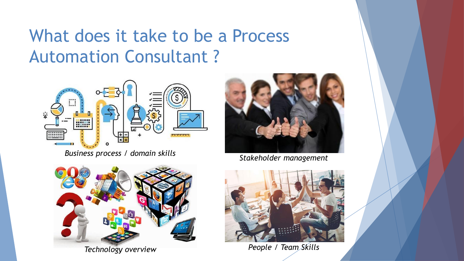## What does it take to be a Process Automation Consultant ?



*Business process / domain skills*



*Stakeholder management*



*Technology overview*



*People / Team Skills*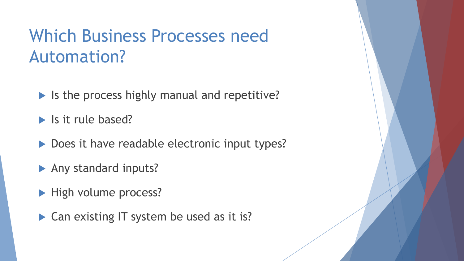## Which Business Processes need Automation?

- $\blacktriangleright$  Is the process highly manual and repetitive?
- $\blacktriangleright$  Is it rule based?
- ▶ Does it have readable electronic input types?
- Any standard inputs?
- High volume process?
- ▶ Can existing IT system be used as it is?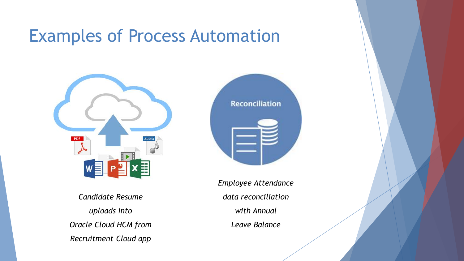

*Candidate Resume uploads into Oracle Cloud HCM from Recruitment Cloud app*



*Employee Attendance data reconciliation with Annual Leave Balance*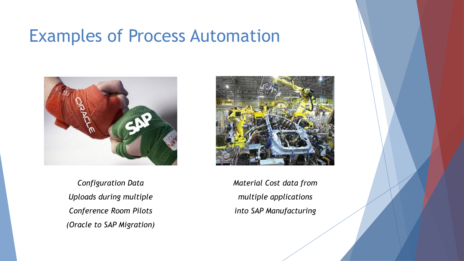

*Configuration Data Uploads during multiple Conference Room Pilots (Oracle to SAP Migration)*



*Material Cost data from multiple applications into SAP Manufacturing*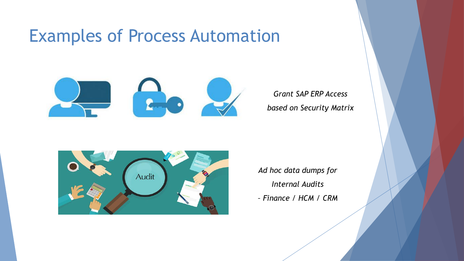

*Grant SAP ERP Access based on Security Matrix*



*Ad hoc data dumps for Internal Audits – Finance / HCM / CRM*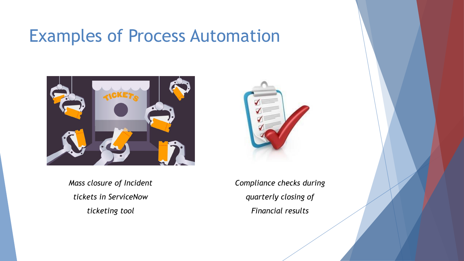

*Mass closure of Incident tickets in ServiceNow ticketing tool*



*Compliance checks during quarterly closing of Financial results*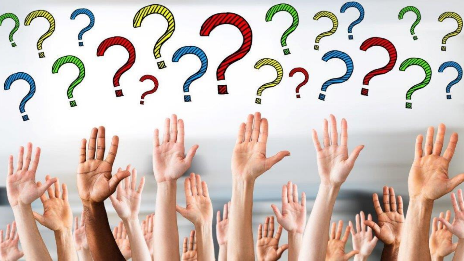